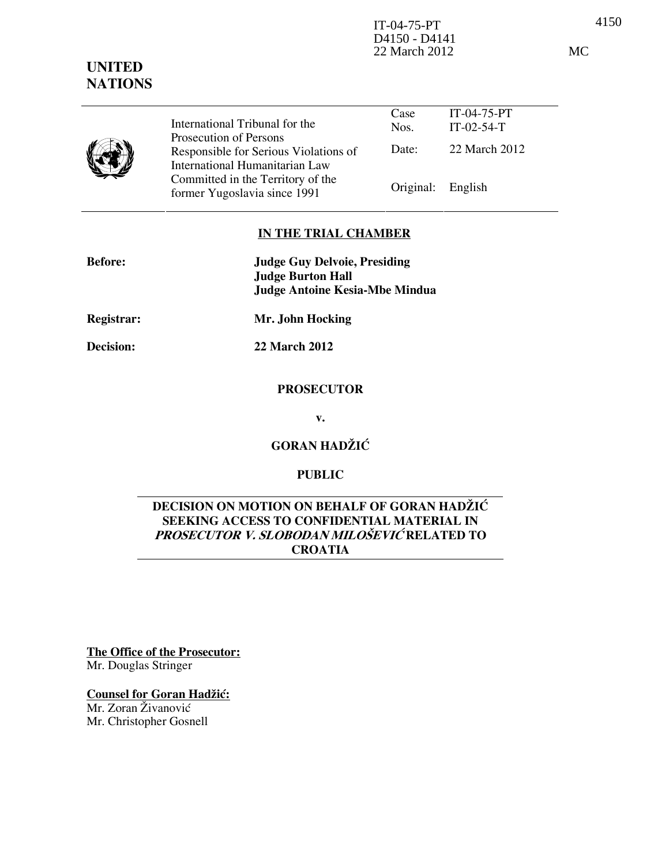4150 IT-04-75-PT D4150 - D4141 22 March 2012 MC

#### Case Nos. IT-04-75-PT IT-02-54-T Date: 22 March 2012 International Tribunal for the Prosecution of Persons Responsible for Serious Violations of International Humanitarian Law Committed in the Territory of the Former Yugoslavia since 1991 Original: English

# IN THE TRIAL CHAMBER

| <b>Before:</b> | <b>Judge Guy Delvoie, Presiding</b> |
|----------------|-------------------------------------|
|                | <b>Judge Burton Hall</b>            |
|                | Judge Antoine Kesia-Mbe Mindua      |

Registrar: Mr. John Hocking

UNITED **NATIONS** 

Decision: 22 March 2012

## **PROSECUTOR**

v.

GORAN HADŽIĆ

# PUBLIC

# DECISION ON MOTION ON BEHALF OF GORAN HADŽIĆ SEEKING ACCESS TO CONFIDENTIAL MATERIAL IN PROSECUTOR V. SLOBODAN MILOŠEVIĆ RELATED TO **CROATIA**

The Office of the Prosecutor: Mr. Douglas Stringer

Counsel for Goran Hadžić:

Mr. Zoran Živanović Mr. Christopher Gosnell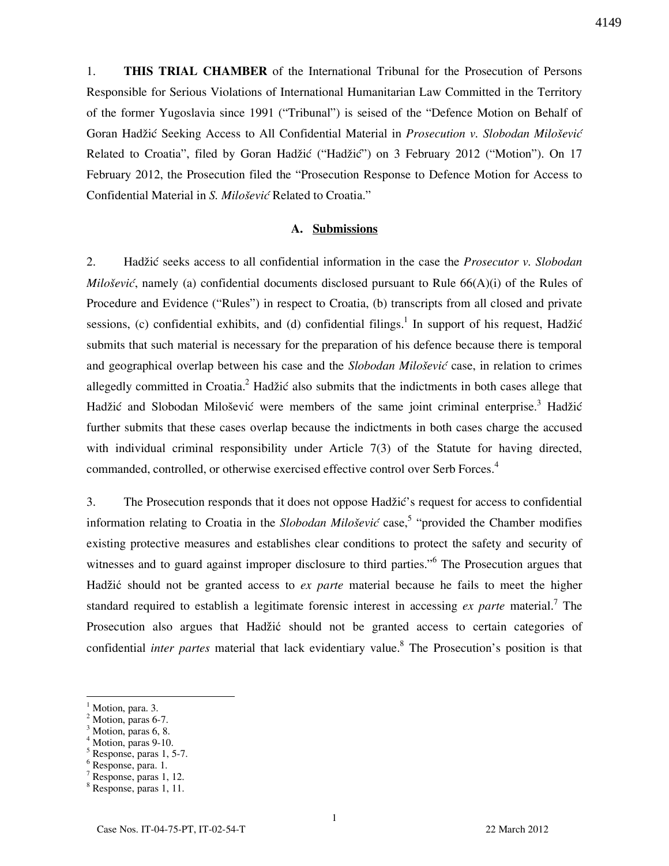1. THIS TRIAL CHAMBER of the International Tribunal for the Prosecution of Persons Responsible for Serious Violations of International Humanitarian Law Committed in the Territory of the former Yugoslavia since 1991 ("Tribunal") is seised of the "Defence Motion on Behalf of Goran Hadžić Seeking Access to All Confidential Material in Prosecution v. Slobodan Milošević Related to Croatia", filed by Goran Hadžić ("Hadžić") on 3 February 2012 ("Motion"). On 17 February 2012, the Prosecution filed the "Prosecution Response to Defence Motion for Access to Confidential Material in S. Milošević Related to Croatia."

### A. Submissions

2. Hadžić seeks access to all confidential information in the case the *Prosecutor v. Slobodan Milošević*, namely (a) confidential documents disclosed pursuant to Rule  $66(A)(i)$  of the Rules of Procedure and Evidence ("Rules") in respect to Croatia, (b) transcripts from all closed and private sessions, (c) confidential exhibits, and (d) confidential filings.<sup>1</sup> In support of his request, Hadžić submits that such material is necessary for the preparation of his defence because there is temporal and geographical overlap between his case and the *Slobodan Milošević* case, in relation to crimes allegedly committed in Croatia.<sup>2</sup> Hadžić also submits that the indictments in both cases allege that Hadžić and Slobodan Milošević were members of the same joint criminal enterprise.<sup>3</sup> Hadžić further submits that these cases overlap because the indictments in both cases charge the accused with individual criminal responsibility under Article 7(3) of the Statute for having directed, commanded, controlled, or otherwise exercised effective control over Serb Forces.<sup>4</sup>

3. The Prosecution responds that it does not oppose Hadžić's request for access to confidential information relating to Croatia in the *Slobodan Milošević* case,<sup>5</sup> "provided the Chamber modifies existing protective measures and establishes clear conditions to protect the safety and security of witnesses and to guard against improper disclosure to third parties."<sup>6</sup> The Prosecution argues that Hadžić should not be granted access to *ex parte* material because he fails to meet the higher standard required to establish a legitimate forensic interest in accessing *ex parte* material.<sup>7</sup> The Prosecution also argues that Hadžić should not be granted access to certain categories of confidential *inter partes* material that lack evidentiary value.<sup>8</sup> The Prosecution's position is that

<sup>1</sup> Motion, para. 3.

<sup>2</sup> Motion, paras 6-7.

<sup>3</sup> Motion, paras 6, 8.

<sup>4</sup> Motion, paras 9-10.

<sup>5</sup> Response, paras 1, 5-7.

<sup>6</sup> Response, para. 1.

<sup>7</sup> Response, paras 1, 12.

<sup>8</sup> Response, paras 1, 11.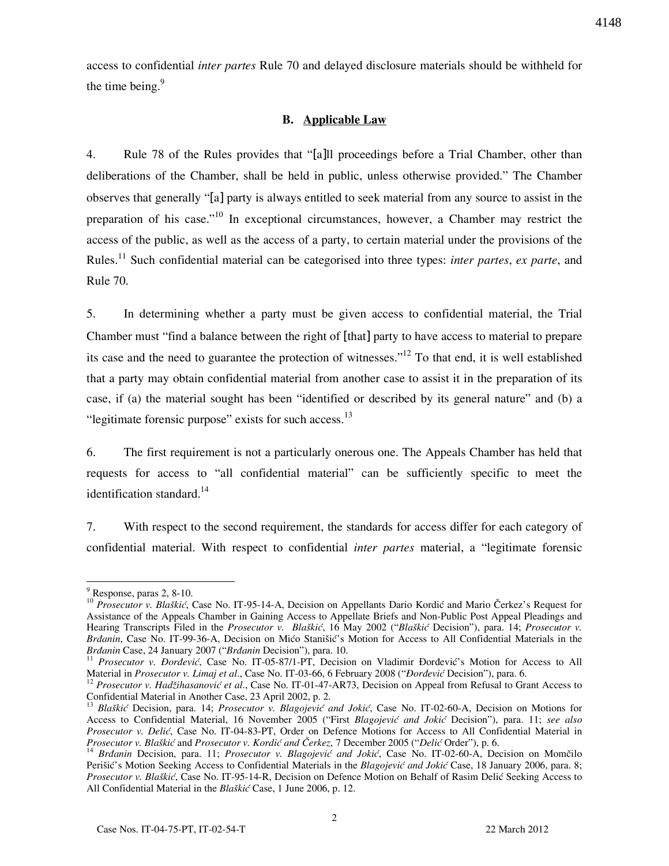access to confidential *inter partes* Rule 70 and delayed disclosure materials should be withheld for the time being. $9$ 

## B. Applicable Law

4. Rule 78 of the Rules provides that "[a]ll proceedings before a Trial Chamber, other than deliberations of the Chamber, shall be held in public, unless otherwise provided." The Chamber observes that generally "[a] party is always entitled to seek material from any source to assist in the preparation of his case."<sup>10</sup> In exceptional circumstances, however, a Chamber may restrict the access of the public, as well as the access of a party, to certain material under the provisions of the Rules.<sup>11</sup> Such confidential material can be categorised into three types: *inter partes, ex parte,* and Rule 70.

5. In determining whether a party must be given access to confidential material, the Trial Chamber must "find a balance between the right of [that] party to have access to material to prepare its case and the need to guarantee the protection of witnesses."<sup>12</sup> To that end, it is well established that a party may obtain confidential material from another case to assist it in the preparation of its case, if (a) the material sought has been "identified or described by its general nature" and (b) a "legitimate forensic purpose" exists for such access.<sup>13</sup>

6. The first requirement is not a particularly onerous one. The Appeals Chamber has held that requests for access to "all confidential material" can be sufficiently specific to meet the identification standard.<sup>14</sup>

7. With respect to the second requirement, the standards for access differ for each category of confidential material. With respect to confidential inter partes material, a "legitimate forensic

 $<sup>9</sup>$  Response, paras 2, 8-10.</sup>

<sup>&</sup>lt;sup>10</sup> Prosecutor v. Blaškić, Case No. IT-95-14-A, Decision on Appellants Dario Kordić and Mario Čerkez's Request for Assistance of the Appeals Chamber in Gaining Access to Appellate Briefs and Non-Public Post Appeal Pleadings and Hearing Transcripts Filed in the *Prosecutor v. Blaškić*, 16 May 2002 ("Blaškić Decision"), para. 14; *Prosecutor v.* Brdanin, Case No. IT-99-36-A, Decision on Mićo Stanišić's Motion for Access to All Confidential Materials in the Brdanin Case, 24 January 2007 ("Brdanin Decision"), para. 10.

<sup>&</sup>lt;sup>11</sup> Prosecutor v. Đorđević, Case No. IT-05-87/1-PT, Decision on Vladimir Đorđević's Motion for Access to All Material in Prosecutor v. Limaj et al., Case No. IT-03-66, 6 February 2008 ("Dordević Decision"), para. 6.

 $12$  Prosecutor v. Hadžihasanović et al., Case No. IT-01-47-AR73, Decision on Appeal from Refusal to Grant Access to Confidential Material in Another Case, 23 April 2002, p. 2.

<sup>&</sup>lt;sup>13</sup> Blaškić Decision, para. 14; Prosecutor v. Blagojević and Jokić, Case No. IT-02-60-A, Decision on Motions for Access to Confidential Material, 16 November 2005 ("First Blagojević and Jokić Decision"), para. 11; see also Prosecutor v. Delić, Case No. IT-04-83-PT, Order on Defence Motions for Access to All Confidential Material in Prosecutor v. Blaškić and Prosecutor v. Kordić and Čerkez, 7 December 2005 ("Delić Order"), p. 6.

<sup>&</sup>lt;sup>14</sup> Brdanin Decision, para. 11; Prosecutor v. Blagojević and Jokić, Case No. IT-02-60-A, Decision on Momčilo Perišić's Motion Seeking Access to Confidential Materials in the Blagojević and Jokić Case, 18 January 2006, para. 8; Prosecutor v. Blaškić, Case No. IT-95-14-R, Decision on Defence Motion on Behalf of Rasim Delić Seeking Access to All Confidential Material in the Blaškić Case, 1 June 2006, p. 12.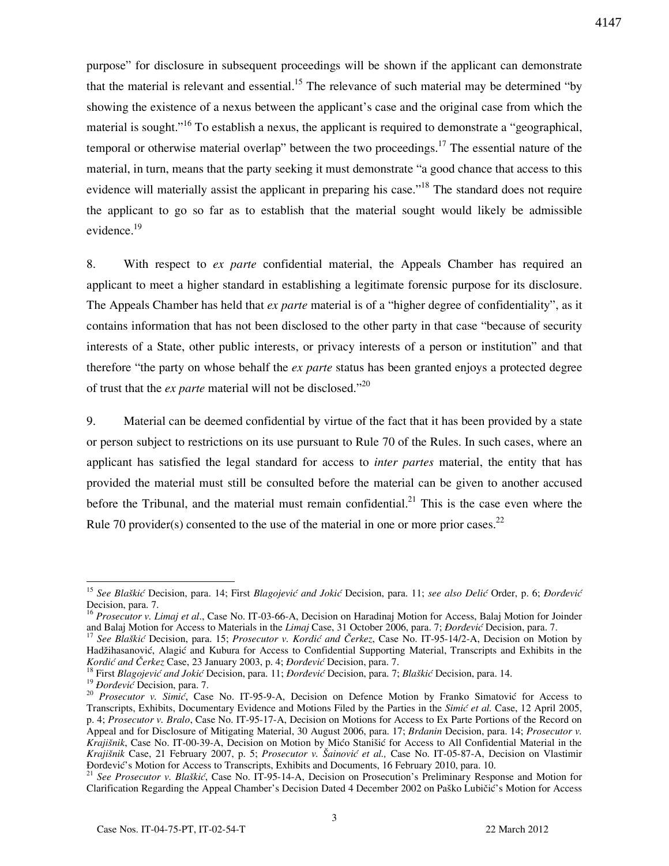4147

purpose" for disclosure in subsequent proceedings will be shown if the applicant can demonstrate that the material is relevant and essential.<sup>15</sup> The relevance of such material may be determined "by showing the existence of a nexus between the applicant's case and the original case from which the material is sought."<sup>16</sup> To establish a nexus, the applicant is required to demonstrate a "geographical, temporal or otherwise material overlap" between the two proceedings.<sup>17</sup> The essential nature of the material, in turn, means that the party seeking it must demonstrate "a good chance that access to this evidence will materially assist the applicant in preparing his case."<sup>18</sup> The standard does not require the applicant to go so far as to establish that the material sought would likely be admissible evidence.<sup>19</sup>

8. With respect to ex parte confidential material, the Appeals Chamber has required an applicant to meet a higher standard in establishing a legitimate forensic purpose for its disclosure. The Appeals Chamber has held that ex parte material is of a "higher degree of confidentiality", as it contains information that has not been disclosed to the other party in that case "because of security interests of a State, other public interests, or privacy interests of a person or institution" and that therefore "the party on whose behalf the *ex parte* status has been granted enjoys a protected degree of trust that the *ex parte* material will not be disclosed."<sup>20</sup>

9. Material can be deemed confidential by virtue of the fact that it has been provided by a state or person subject to restrictions on its use pursuant to Rule 70 of the Rules. In such cases, where an applicant has satisfied the legal standard for access to *inter partes* material, the entity that has provided the material must still be consulted before the material can be given to another accused before the Tribunal, and the material must remain confidential.<sup>21</sup> This is the case even where the Rule 70 provider(s) consented to the use of the material in one or more prior cases.<sup>22</sup>

 $\overline{a}$ <sup>15</sup> See Blaškić Decision, para. 14; First Blagojević and Jokić Decision, para. 11; see also Delić Order, p. 6; *Đorđević* Decision, para. 7.

<sup>&</sup>lt;sup>16</sup> Prosecutor v. Limaj et al., Case No. IT-03-66-A, Decision on Haradinaj Motion for Access, Balaj Motion for Joinder and Balaj Motion for Access to Materials in the Limaj Case, 31 October 2006, para. 7; *Đorđević* Decision, para. 7.

<sup>&</sup>lt;sup>17</sup> See Blaškić Decision, para. 15; *Prosecutor v. Kordić and Čerkez*, Case No. IT-95-14/2-A, Decision on Motion by Hadžihasanović, Alagić and Kubura for Access to Confidential Supporting Material, Transcripts and Exhibits in the Kordić and Čerkez Case, 23 January 2003, p. 4; *Đorđević* Decision, para. 7.

<sup>&</sup>lt;sup>18</sup> First Blagojević and Jokić Decision, para. 11; *Đorđević* Decision, para. 7; Blaškić Decision, para. 14.

<sup>&</sup>lt;sup>19</sup> *Dorđević* Decision, para. 7.

<sup>&</sup>lt;sup>20</sup> Prosecutor v. Simić, Case No. IT-95-9-A, Decision on Defence Motion by Franko Simatović for Access to Transcripts, Exhibits, Documentary Evidence and Motions Filed by the Parties in the Simić et al. Case, 12 April 2005, p. 4; Prosecutor v. Bralo, Case No. IT-95-17-A, Decision on Motions for Access to Ex Parte Portions of the Record on Appeal and for Disclosure of Mitigating Material, 30 August 2006, para. 17; Brdanin Decision, para. 14; Prosecutor v. Krajišnik, Case No. IT-00-39-A, Decision on Motion by Mićo Stanišić for Access to All Confidential Material in the Krajišnik Case, 21 February 2007, p. 5; Prosecutor v. Šainović et al., Case No. IT-05-87-A, Decision on Vlastimir Ðorñević's Motion for Access to Transcripts, Exhibits and Documents, 16 February 2010, para. 10.

<sup>&</sup>lt;sup>21</sup> See Prosecutor v. Blaškić, Case No. IT-95-14-A, Decision on Prosecution's Preliminary Response and Motion for Clarification Regarding the Appeal Chamber's Decision Dated 4 December 2002 on Paško Lubičić's Motion for Access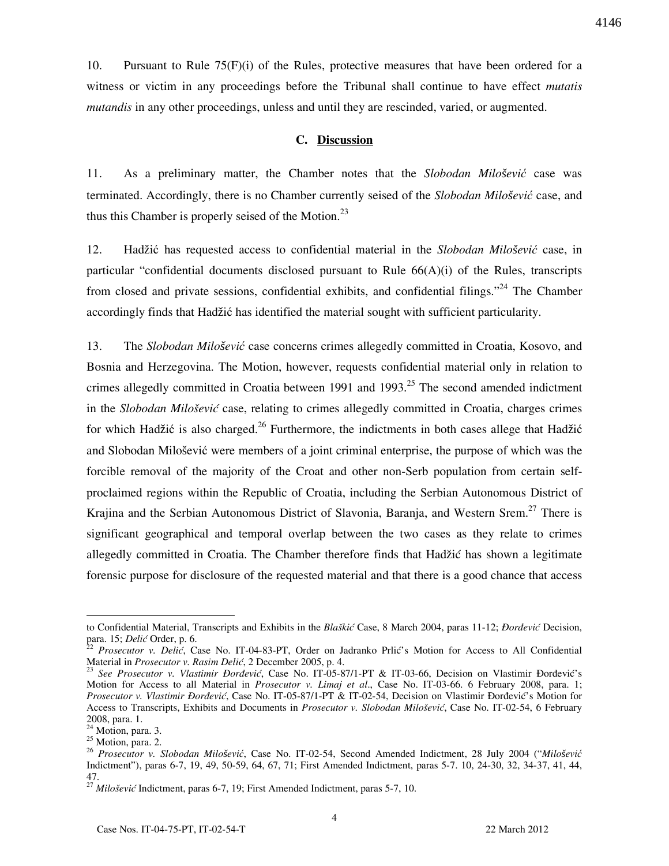10. Pursuant to Rule 75(F)(i) of the Rules, protective measures that have been ordered for a witness or victim in any proceedings before the Tribunal shall continue to have effect *mutatis* mutandis in any other proceedings, unless and until they are rescinded, varied, or augmented.

# C. Discussion

11. As a preliminary matter, the Chamber notes that the Slobodan Milo*š*ević case was terminated. Accordingly, there is no Chamber currently seised of the Slobodan Milo*š*ević case, and thus this Chamber is properly seised of the Motion.<sup>23</sup>

12. Hadžić has requested access to confidential material in the Slobodan Milo*š*ević case, in particular "confidential documents disclosed pursuant to Rule 66(A)(i) of the Rules, transcripts from closed and private sessions, confidential exhibits, and confidential filings."<sup>24</sup> The Chamber accordingly finds that Hadžić has identified the material sought with sufficient particularity.

13. The Slobodan Milo*š*ević case concerns crimes allegedly committed in Croatia, Kosovo, and Bosnia and Herzegovina. The Motion, however, requests confidential material only in relation to crimes allegedly committed in Croatia between 1991 and 1993.<sup>25</sup> The second amended indictment in the Slobodan Milošević case, relating to crimes allegedly committed in Croatia, charges crimes for which Hadžić is also charged.<sup>26</sup> Furthermore, the indictments in both cases allege that Hadžić and Slobodan Milošević were members of a joint criminal enterprise, the purpose of which was the forcible removal of the majority of the Croat and other non-Serb population from certain selfproclaimed regions within the Republic of Croatia, including the Serbian Autonomous District of Krajina and the Serbian Autonomous District of Slavonia, Baranja, and Western Srem.<sup>27</sup> There is significant geographical and temporal overlap between the two cases as they relate to crimes allegedly committed in Croatia. The Chamber therefore finds that Hadžić has shown a legitimate forensic purpose for disclosure of the requested material and that there is a good chance that access

to Confidential Material, Transcripts and Exhibits in the Blaškić Case, 8 March 2004, paras 11-12; *Đorđević* Decision, para. 15; Delić Order, p. 6.

<sup>22</sup> Prosecutor v. Delić, Case No. IT-04-83-PT, Order on Jadranko Prlić's Motion for Access to All Confidential Material in Prosecutor v. Rasim Delić, 2 December 2005, p. 4.

<sup>&</sup>lt;sup>23</sup> See Prosecutor v. Vlastimir Đorđević, Case No. IT-05-87/1-PT & IT-03-66, Decision on Vlastimir Đorđević's Motion for Access to all Material in *Prosecutor v. Limaj et al.*, Case No. IT-03-66. 6 February 2008, para. 1; Prosecutor v. Vlastimir Đorđević, Case No. IT-05-87/1-PT & IT-02-54, Decision on Vlastimir Đorđević's Motion for Access to Transcripts, Exhibits and Documents in Prosecutor v. Slobodan Milošević, Case No. IT-02-54, 6 February 2008, para. 1.

 $24$  Motion, para. 3. <sup>25</sup> Motion, para. 2.

<sup>26</sup> Prosecutor v. Slobodan Milo*š*ević, Case No. IT-02-54, Second Amended Indictment, 28 July 2004 ("Milo*š*ević Indictment"), paras 6-7, 19, 49, 50-59, 64, 67, 71; First Amended Indictment, paras 5-7. 10, 24-30, 32, 34-37, 41, 44, 47.

 $^{27}$  Milošević Indictment, paras 6-7, 19; First Amended Indictment, paras 5-7, 10.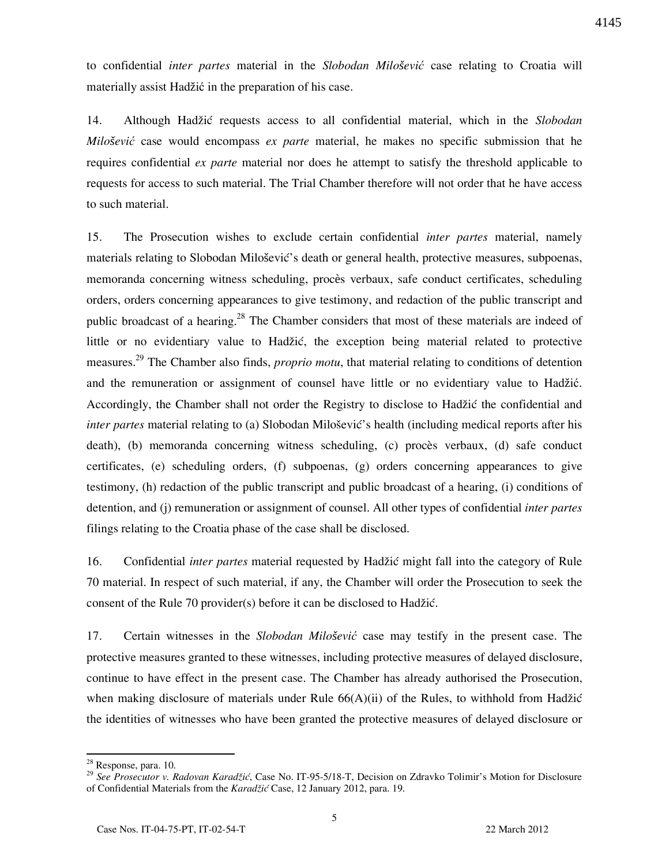to confidential inter partes material in the Slobodan Milo*š*ević case relating to Croatia will materially assist Hadžić in the preparation of his case.

14. Although Hadžić requests access to all confidential material, which in the Slobodan Milo*š*ević case would encompass ex parte material, he makes no specific submission that he requires confidential ex parte material nor does he attempt to satisfy the threshold applicable to requests for access to such material. The Trial Chamber therefore will not order that he have access to such material.

15. The Prosecution wishes to exclude certain confidential *inter partes* material, namely materials relating to Slobodan Milošević's death or general health, protective measures, subpoenas, memoranda concerning witness scheduling, procès verbaux, safe conduct certificates, scheduling orders, orders concerning appearances to give testimony, and redaction of the public transcript and public broadcast of a hearing.<sup>28</sup> The Chamber considers that most of these materials are indeed of little or no evidentiary value to Hadžić, the exception being material related to protective measures.<sup>29</sup> The Chamber also finds, *proprio motu*, that material relating to conditions of detention and the remuneration or assignment of counsel have little or no evidentiary value to Hadžić. Accordingly, the Chamber shall not order the Registry to disclose to Hadžić the confidential and inter partes material relating to (a) Slobodan Milošević's health (including medical reports after his death), (b) memoranda concerning witness scheduling, (c) procès verbaux, (d) safe conduct certificates, (e) scheduling orders, (f) subpoenas, (g) orders concerning appearances to give testimony, (h) redaction of the public transcript and public broadcast of a hearing, (i) conditions of detention, and (j) remuneration or assignment of counsel. All other types of confidential *inter partes* filings relating to the Croatia phase of the case shall be disclosed.

16. Confidential *inter partes* material requested by Hadžić might fall into the category of Rule 70 material. In respect of such material, if any, the Chamber will order the Prosecution to seek the consent of the Rule 70 provider(s) before it can be disclosed to Hadžić.

17. Certain witnesses in the Slobodan Milo*š*ević case may testify in the present case. The protective measures granted to these witnesses, including protective measures of delayed disclosure, continue to have effect in the present case. The Chamber has already authorised the Prosecution, when making disclosure of materials under Rule  $66(A)(ii)$  of the Rules, to withhold from Hadžić the identities of witnesses who have been granted the protective measures of delayed disclosure or

<sup>&</sup>lt;sup>28</sup> Response, para. 10.

<sup>&</sup>lt;sup>29</sup> See Prosecutor v. Radovan Karadžić, Case No. IT-95-5/18-T, Decision on Zdravko Tolimir's Motion for Disclosure of Confidential Materials from the Karadžić Case, 12 January 2012, para. 19.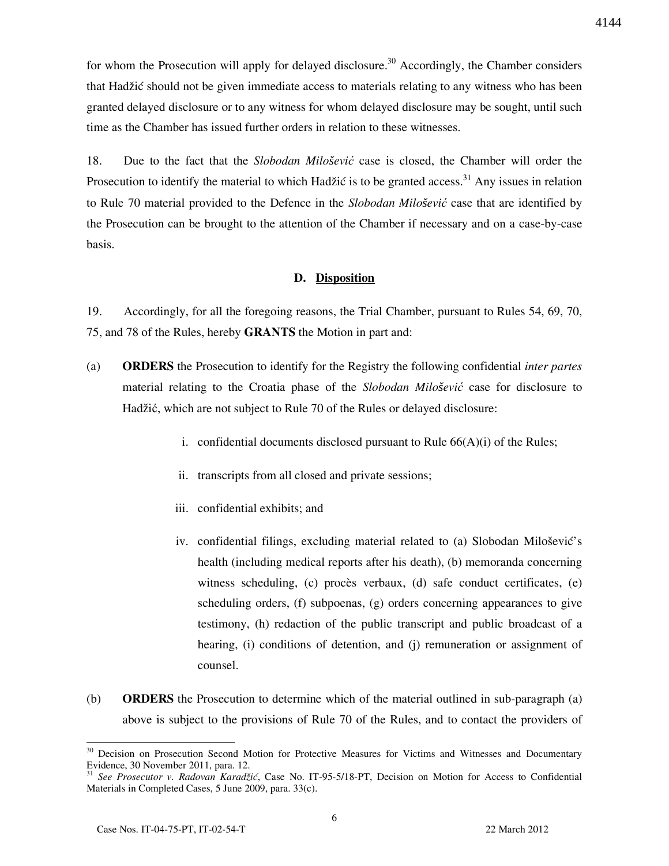for whom the Prosecution will apply for delayed disclosure.<sup>30</sup> Accordingly, the Chamber considers that Hadžić should not be given immediate access to materials relating to any witness who has been granted delayed disclosure or to any witness for whom delayed disclosure may be sought, until such time as the Chamber has issued further orders in relation to these witnesses.

18. Due to the fact that the Slobodan Milo*š*ević case is closed, the Chamber will order the Prosecution to identify the material to which Hadžić is to be granted access.<sup>31</sup> Any issues in relation to Rule 70 material provided to the Defence in the Slobodan Milo*š*ević case that are identified by the Prosecution can be brought to the attention of the Chamber if necessary and on a case-by-case basis.

## D. Disposition

19. Accordingly, for all the foregoing reasons, the Trial Chamber, pursuant to Rules 54, 69, 70, 75, and 78 of the Rules, hereby GRANTS the Motion in part and:

- (a) ORDERS the Prosecution to identify for the Registry the following confidential inter partes material relating to the Croatia phase of the Slobodan Milo*š*ević case for disclosure to Hadžić, which are not subject to Rule 70 of the Rules or delayed disclosure:
	- i. confidential documents disclosed pursuant to Rule  $66(A)(i)$  of the Rules;
	- ii. transcripts from all closed and private sessions;
	- iii. confidential exhibits; and
	- iv. confidential filings, excluding material related to (a) Slobodan Milošević's health (including medical reports after his death), (b) memoranda concerning witness scheduling, (c) procès verbaux, (d) safe conduct certificates, (e) scheduling orders, (f) subpoenas, (g) orders concerning appearances to give testimony, (h) redaction of the public transcript and public broadcast of a hearing, (i) conditions of detention, and (j) remuneration or assignment of counsel.
- (b) ORDERS the Prosecution to determine which of the material outlined in sub-paragraph (a) above is subject to the provisions of Rule 70 of the Rules, and to contact the providers of

<sup>&</sup>lt;sup>30</sup> Decision on Prosecution Second Motion for Protective Measures for Victims and Witnesses and Documentary Evidence, 30 November 2011, para. 12.

 $31$  See Prosecutor v. Radovan Karadžić, Case No. IT-95-5/18-PT, Decision on Motion for Access to Confidential Materials in Completed Cases, 5 June 2009, para. 33(c).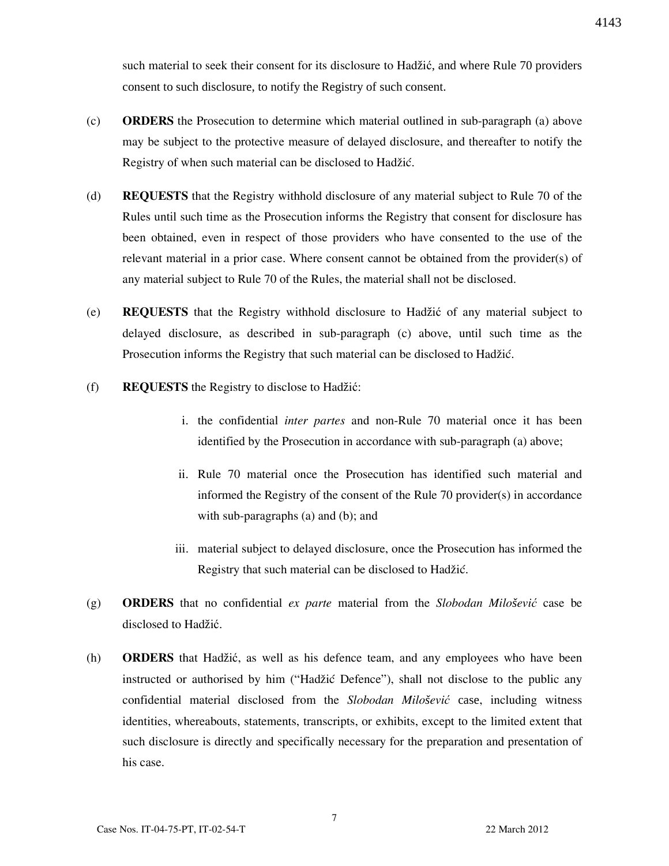such material to seek their consent for its disclosure to Hadžić, and where Rule 70 providers consent to such disclosure, to notify the Registry of such consent.

- (c) ORDERS the Prosecution to determine which material outlined in sub-paragraph (a) above may be subject to the protective measure of delayed disclosure, and thereafter to notify the Registry of when such material can be disclosed to Hadžić.
- (d) REQUESTS that the Registry withhold disclosure of any material subject to Rule 70 of the Rules until such time as the Prosecution informs the Registry that consent for disclosure has been obtained, even in respect of those providers who have consented to the use of the relevant material in a prior case. Where consent cannot be obtained from the provider(s) of any material subject to Rule 70 of the Rules, the material shall not be disclosed.
- (e) REQUESTS that the Registry withhold disclosure to Hadžić of any material subject to delayed disclosure, as described in sub-paragraph (c) above, until such time as the Prosecution informs the Registry that such material can be disclosed to Hadžić.
- (f) REQUESTS the Registry to disclose to Hadžić:
	- i. the confidential inter partes and non-Rule 70 material once it has been identified by the Prosecution in accordance with sub-paragraph (a) above;
	- ii. Rule 70 material once the Prosecution has identified such material and informed the Registry of the consent of the Rule 70 provider(s) in accordance with sub-paragraphs (a) and (b); and
	- iii. material subject to delayed disclosure, once the Prosecution has informed the Registry that such material can be disclosed to Hadžić.
- (g) ORDERS that no confidential ex parte material from the Slobodan Milo*š*ević case be disclosed to Hadžić.
- (h) ORDERS that Hadžić, as well as his defence team, and any employees who have been instructed or authorised by him ("Hadžić Defence"), shall not disclose to the public any confidential material disclosed from the Slobodan Milo*š*ević case, including witness identities, whereabouts, statements, transcripts, or exhibits, except to the limited extent that such disclosure is directly and specifically necessary for the preparation and presentation of his case.

4143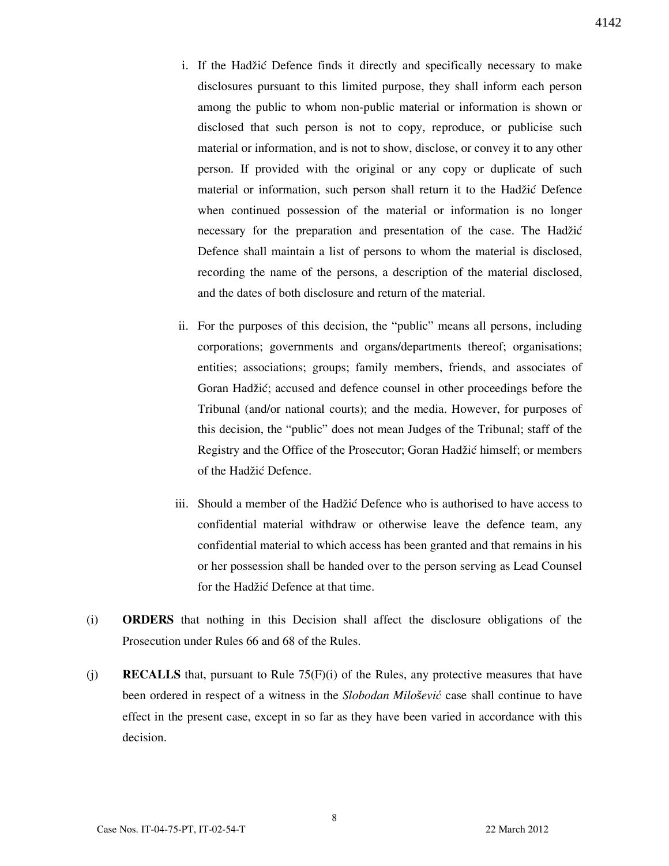- i. If the Hadžić Defence finds it directly and specifically necessary to make disclosures pursuant to this limited purpose, they shall inform each person among the public to whom non-public material or information is shown or disclosed that such person is not to copy, reproduce, or publicise such material or information, and is not to show, disclose, or convey it to any other person. If provided with the original or any copy or duplicate of such material or information, such person shall return it to the Hadžić Defence when continued possession of the material or information is no longer necessary for the preparation and presentation of the case. The Hadžić Defence shall maintain a list of persons to whom the material is disclosed, recording the name of the persons, a description of the material disclosed, and the dates of both disclosure and return of the material.
- ii. For the purposes of this decision, the "public" means all persons, including corporations; governments and organs/departments thereof; organisations; entities; associations; groups; family members, friends, and associates of Goran Hadžić; accused and defence counsel in other proceedings before the Tribunal (and/or national courts); and the media. However, for purposes of this decision, the "public" does not mean Judges of the Tribunal; staff of the Registry and the Office of the Prosecutor; Goran Hadžić himself; or members of the Hadžić Defence.
- iii. Should a member of the Hadžić Defence who is authorised to have access to confidential material withdraw or otherwise leave the defence team, any confidential material to which access has been granted and that remains in his or her possession shall be handed over to the person serving as Lead Counsel for the Hadžić Defence at that time.
- (i) ORDERS that nothing in this Decision shall affect the disclosure obligations of the Prosecution under Rules 66 and 68 of the Rules.
- (j) **RECALLS** that, pursuant to Rule  $75(F)(i)$  of the Rules, any protective measures that have been ordered in respect of a witness in the Slobodan Milo*š*ević case shall continue to have effect in the present case, except in so far as they have been varied in accordance with this decision.